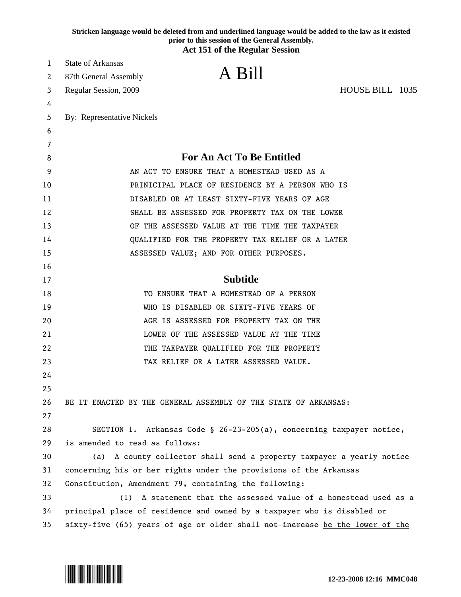|    | Stricken language would be deleted from and underlined language would be added to the law as it existed<br>prior to this session of the General Assembly. |  |
|----|-----------------------------------------------------------------------------------------------------------------------------------------------------------|--|
|    | <b>Act 151 of the Regular Session</b>                                                                                                                     |  |
| 1  | <b>State of Arkansas</b>                                                                                                                                  |  |
| 2  | A Bill<br>87th General Assembly                                                                                                                           |  |
| 3  | HOUSE BILL 1035<br>Regular Session, 2009                                                                                                                  |  |
| 4  |                                                                                                                                                           |  |
| 5  | By: Representative Nickels                                                                                                                                |  |
| 6  |                                                                                                                                                           |  |
| 7  |                                                                                                                                                           |  |
| 8  | <b>For An Act To Be Entitled</b>                                                                                                                          |  |
| 9  | AN ACT TO ENSURE THAT A HOMESTEAD USED AS A                                                                                                               |  |
| 10 | PRINICIPAL PLACE OF RESIDENCE BY A PERSON WHO IS                                                                                                          |  |
| 11 | DISABLED OR AT LEAST SIXTY-FIVE YEARS OF AGE                                                                                                              |  |
| 12 | SHALL BE ASSESSED FOR PROPERTY TAX ON THE LOWER                                                                                                           |  |
| 13 | OF THE ASSESSED VALUE AT THE TIME THE TAXPAYER                                                                                                            |  |
| 14 | QUALIFIED FOR THE PROPERTY TAX RELIEF OR A LATER                                                                                                          |  |
| 15 | ASSESSED VALUE; AND FOR OTHER PURPOSES.                                                                                                                   |  |
| 16 |                                                                                                                                                           |  |
| 17 | <b>Subtitle</b>                                                                                                                                           |  |
| 18 | TO ENSURE THAT A HOMESTEAD OF A PERSON                                                                                                                    |  |
| 19 | WHO IS DISABLED OR SIXTY-FIVE YEARS OF                                                                                                                    |  |
| 20 | AGE IS ASSESSED FOR PROPERTY TAX ON THE                                                                                                                   |  |
| 21 | LOWER OF THE ASSESSED VALUE AT THE TIME                                                                                                                   |  |
| 22 | THE TAXPAYER QUALIFIED FOR THE PROPERTY                                                                                                                   |  |
| 23 | TAX RELIEF OR A LATER ASSESSED VALUE.                                                                                                                     |  |
| 24 |                                                                                                                                                           |  |
| 25 |                                                                                                                                                           |  |
| 26 | BE IT ENACTED BY THE GENERAL ASSEMBLY OF THE STATE OF ARKANSAS:                                                                                           |  |
| 27 |                                                                                                                                                           |  |
| 28 | SECTION 1. Arkansas Code § 26-23-205(a), concerning taxpayer notice,                                                                                      |  |
| 29 | is amended to read as follows:                                                                                                                            |  |
| 30 | A county collector shall send a property taxpayer a yearly notice<br>(a)                                                                                  |  |
| 31 | concerning his or her rights under the provisions of the Arkansas                                                                                         |  |
| 32 | Constitution, Amendment 79, containing the following:                                                                                                     |  |
| 33 | A statement that the assessed value of a homestead used as a<br>(1)                                                                                       |  |
| 34 | principal place of residence and owned by a taxpayer who is disabled or                                                                                   |  |
| 35 | sixty-five (65) years of age or older shall not increase be the lower of the                                                                              |  |

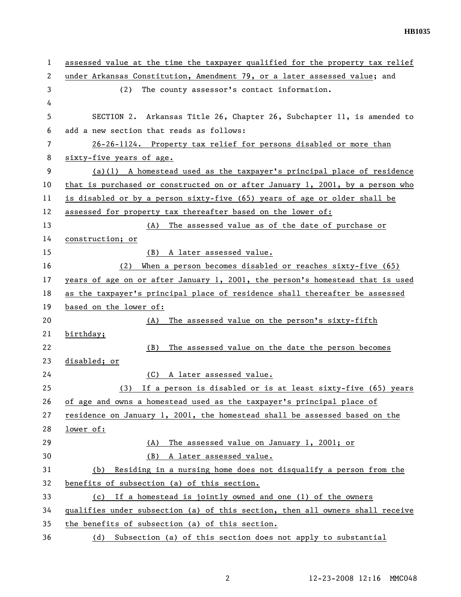1 assessed value at the time the taxpayer qualified for the property tax relief 2 under Arkansas Constitution, Amendment 79, or a later assessed value; and 3 (2) The county assessor's contact information. 4 5 SECTION 2. Arkansas Title 26, Chapter 26, Subchapter 11, is amended to 6 add a new section that reads as follows: 7 26-26-1124. Property tax relief for persons disabled or more than 8 sixty-five years of age. 9 (a)(1) A homestead used as the taxpayer's principal place of residence 10 that is purchased or constructed on or after January 1, 2001, by a person who 11 is disabled or by a person sixty-five (65) years of age or older shall be 12 assessed for property tax thereafter based on the lower of: 13 (A) The assessed value as of the date of purchase or 14 construction; or 15 (B) A later assessed value. 16 (2) When a person becomes disabled or reaches sixty-five (65) 17 years of age on or after January 1, 2001, the person's homestead that is used 18 as the taxpayer's principal place of residence shall thereafter be assessed 19 based on the lower of: 20 (A) The assessed value on the person's sixty-fifth 21 birthday; 22 (B) The assessed value on the date the person becomes 23 disabled; or 24 (C) A later assessed value. 25 (3) If a person is disabled or is at least sixty-five (65) years 26 of age and owns a homestead used as the taxpayer's principal place of 27 residence on January 1, 2001, the homestead shall be assessed based on the 28 lower of: 29 (A) The assessed value on January 1, 2001; or 30 (B) A later assessed value. 31 (b) Residing in a nursing home does not disqualify a person from the 32 benefits of subsection (a) of this section. 33 (c) If a homestead is jointly owned and one (1) of the owners 34 qualifies under subsection (a) of this section, then all owners shall receive 35 the benefits of subsection (a) of this section. 36 (d) Subsection (a) of this section does not apply to substantial